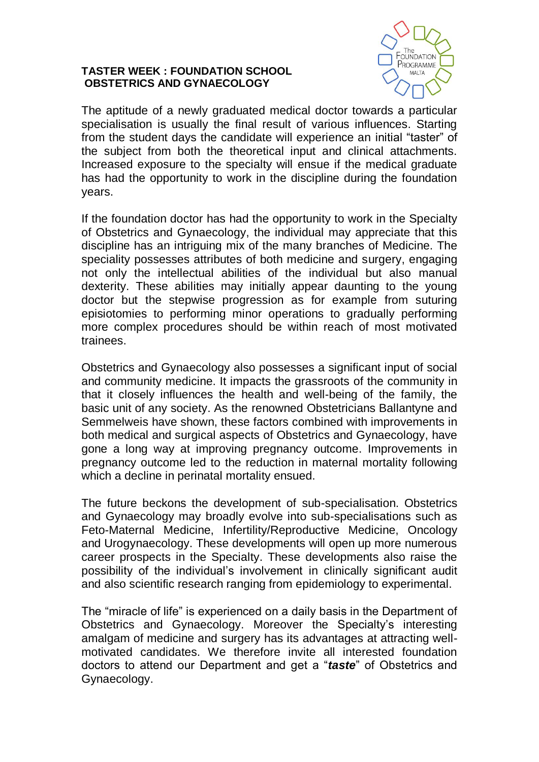## **TASTER WEEK : FOUNDATION SCHOOL OBSTETRICS AND GYNAECOLOGY**



The aptitude of a newly graduated medical doctor towards a particular specialisation is usually the final result of various influences. Starting from the student days the candidate will experience an initial "taster" of the subject from both the theoretical input and clinical attachments. Increased exposure to the specialty will ensue if the medical graduate has had the opportunity to work in the discipline during the foundation years.

If the foundation doctor has had the opportunity to work in the Specialty of Obstetrics and Gynaecology, the individual may appreciate that this discipline has an intriguing mix of the many branches of Medicine. The speciality possesses attributes of both medicine and surgery, engaging not only the intellectual abilities of the individual but also manual dexterity. These abilities may initially appear daunting to the young doctor but the stepwise progression as for example from suturing episiotomies to performing minor operations to gradually performing more complex procedures should be within reach of most motivated trainees.

Obstetrics and Gynaecology also possesses a significant input of social and community medicine. It impacts the grassroots of the community in that it closely influences the health and well-being of the family, the basic unit of any society. As the renowned Obstetricians Ballantyne and Semmelweis have shown, these factors combined with improvements in both medical and surgical aspects of Obstetrics and Gynaecology, have gone a long way at improving pregnancy outcome. Improvements in pregnancy outcome led to the reduction in maternal mortality following which a decline in perinatal mortality ensued.

The future beckons the development of sub-specialisation. Obstetrics and Gynaecology may broadly evolve into sub-specialisations such as Feto-Maternal Medicine, Infertility/Reproductive Medicine, Oncology and Urogynaecology. These developments will open up more numerous career prospects in the Specialty. These developments also raise the possibility of the individual's involvement in clinically significant audit and also scientific research ranging from epidemiology to experimental.

The "miracle of life" is experienced on a daily basis in the Department of Obstetrics and Gynaecology. Moreover the Specialty's interesting amalgam of medicine and surgery has its advantages at attracting wellmotivated candidates. We therefore invite all interested foundation doctors to attend our Department and get a "*taste*" of Obstetrics and Gynaecology.